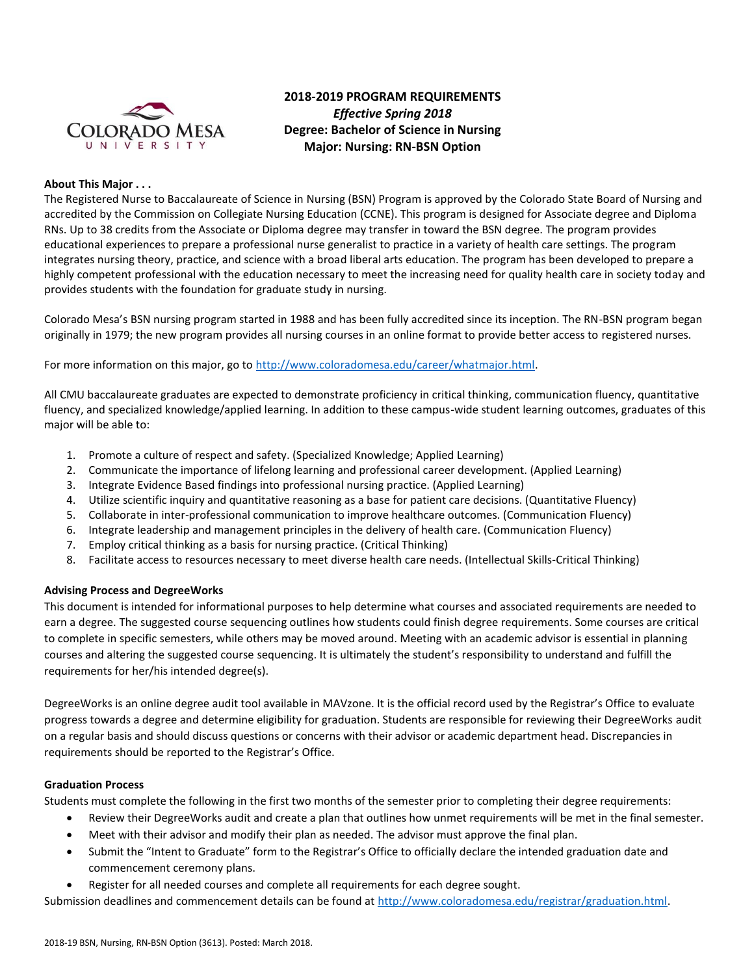

# **2018-2019 PROGRAM REQUIREMENTS**  *Effective Spring 2018*  **Degree: Bachelor of Science in Nursing Major: Nursing: RN-BSN Option**

### **About This Major . . .**

The Registered Nurse to Baccalaureate of Science in Nursing (BSN) Program is approved by the Colorado State Board of Nursing and accredited by the Commission on Collegiate Nursing Education (CCNE). This program is designed for Associate degree and Diploma RNs. Up to 38 credits from the Associate or Diploma degree may transfer in toward the BSN degree. The program provides educational experiences to prepare a professional nurse generalist to practice in a variety of health care settings. The program integrates nursing theory, practice, and science with a broad liberal arts education. The program has been developed to prepare a highly competent professional with the education necessary to meet the increasing need for quality health care in society today and provides students with the foundation for graduate study in nursing.

Colorado Mesa's BSN nursing program started in 1988 and has been fully accredited since its inception. The RN-BSN program began originally in 1979; the new program provides all nursing courses in an online format to provide better access to registered nurses.

For more information on this major, go to [http://www.coloradomesa.edu/career/whatmajor.html.](http://www.coloradomesa.edu/career/whatmajor.html)

All CMU baccalaureate graduates are expected to demonstrate proficiency in critical thinking, communication fluency, quantitative fluency, and specialized knowledge/applied learning. In addition to these campus-wide student learning outcomes, graduates of this major will be able to:

- 1. Promote a culture of respect and safety. (Specialized Knowledge; Applied Learning)
- 2. Communicate the importance of lifelong learning and professional career development. (Applied Learning)
- 3. Integrate Evidence Based findings into professional nursing practice. (Applied Learning)
- 4. Utilize scientific inquiry and quantitative reasoning as a base for patient care decisions. (Quantitative Fluency)
- 5. Collaborate in inter-professional communication to improve healthcare outcomes. (Communication Fluency)
- 6. Integrate leadership and management principles in the delivery of health care. (Communication Fluency)
- 7. Employ critical thinking as a basis for nursing practice. (Critical Thinking)
- 8. Facilitate access to resources necessary to meet diverse health care needs. (Intellectual Skills-Critical Thinking)

### **Advising Process and DegreeWorks**

This document is intended for informational purposes to help determine what courses and associated requirements are needed to earn a degree. The suggested course sequencing outlines how students could finish degree requirements. Some courses are critical to complete in specific semesters, while others may be moved around. Meeting with an academic advisor is essential in planning courses and altering the suggested course sequencing. It is ultimately the student's responsibility to understand and fulfill the requirements for her/his intended degree(s).

DegreeWorks is an online degree audit tool available in MAVzone. It is the official record used by the Registrar's Office to evaluate progress towards a degree and determine eligibility for graduation. Students are responsible for reviewing their DegreeWorks audit on a regular basis and should discuss questions or concerns with their advisor or academic department head. Discrepancies in requirements should be reported to the Registrar's Office.

### **Graduation Process**

Students must complete the following in the first two months of the semester prior to completing their degree requirements:

- Review their DegreeWorks audit and create a plan that outlines how unmet requirements will be met in the final semester.
- Meet with their advisor and modify their plan as needed. The advisor must approve the final plan.
- Submit the "Intent to Graduate" form to the Registrar's Office to officially declare the intended graduation date and commencement ceremony plans.
- Register for all needed courses and complete all requirements for each degree sought.

Submission deadlines and commencement details can be found at [http://www.coloradomesa.edu/registrar/graduation.html.](http://www.coloradomesa.edu/registrar/graduation.html)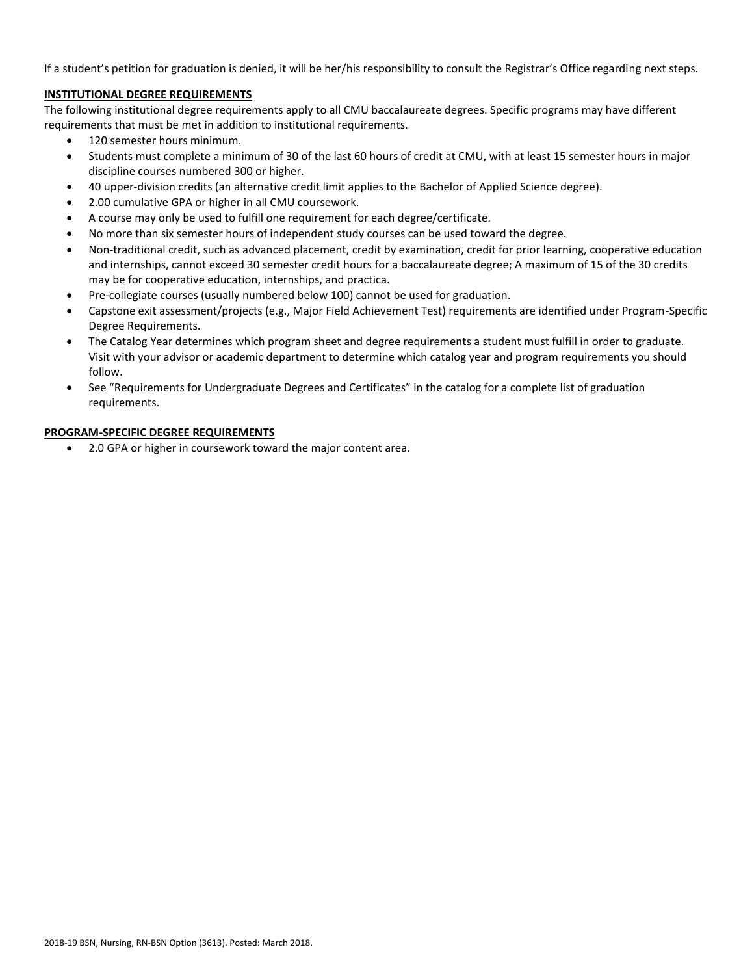If a student's petition for graduation is denied, it will be her/his responsibility to consult the Registrar's Office regarding next steps.

# **INSTITUTIONAL DEGREE REQUIREMENTS**

The following institutional degree requirements apply to all CMU baccalaureate degrees. Specific programs may have different requirements that must be met in addition to institutional requirements.

- 120 semester hours minimum.
- Students must complete a minimum of 30 of the last 60 hours of credit at CMU, with at least 15 semester hours in major discipline courses numbered 300 or higher.
- 40 upper-division credits (an alternative credit limit applies to the Bachelor of Applied Science degree).
- 2.00 cumulative GPA or higher in all CMU coursework.
- A course may only be used to fulfill one requirement for each degree/certificate.
- No more than six semester hours of independent study courses can be used toward the degree.
- Non-traditional credit, such as advanced placement, credit by examination, credit for prior learning, cooperative education and internships, cannot exceed 30 semester credit hours for a baccalaureate degree; A maximum of 15 of the 30 credits may be for cooperative education, internships, and practica.
- Pre-collegiate courses (usually numbered below 100) cannot be used for graduation.
- Capstone exit assessment/projects (e.g., Major Field Achievement Test) requirements are identified under Program-Specific Degree Requirements.
- The Catalog Year determines which program sheet and degree requirements a student must fulfill in order to graduate. Visit with your advisor or academic department to determine which catalog year and program requirements you should follow.
- See "Requirements for Undergraduate Degrees and Certificates" in the catalog for a complete list of graduation requirements.

# **PROGRAM-SPECIFIC DEGREE REQUIREMENTS**

2.0 GPA or higher in coursework toward the major content area.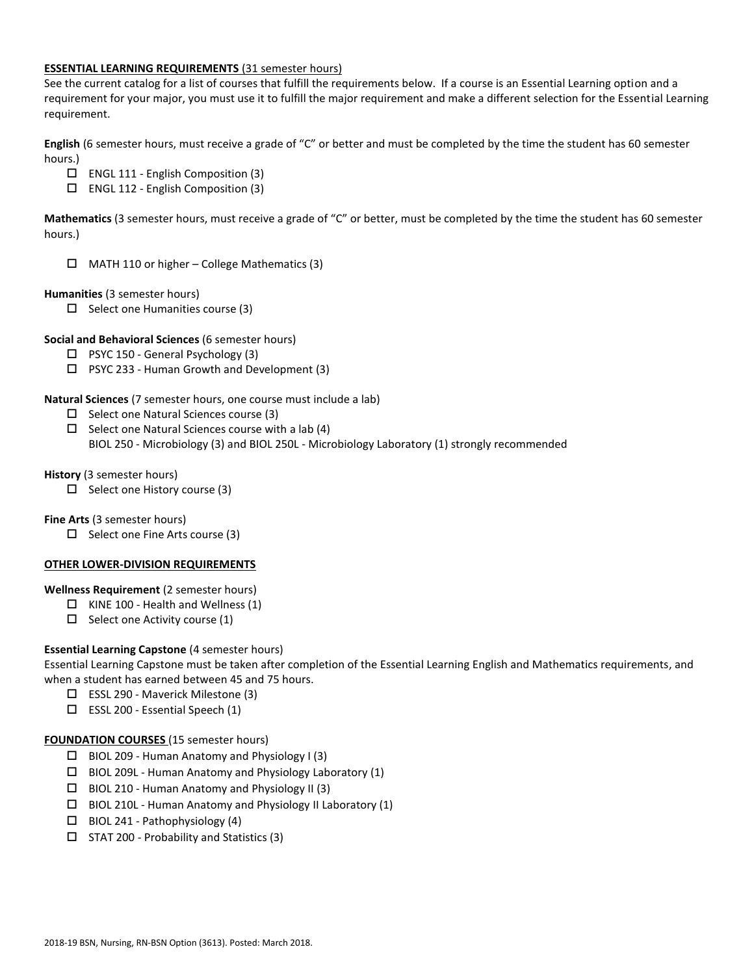### **ESSENTIAL LEARNING REQUIREMENTS** (31 semester hours)

See the current catalog for a list of courses that fulfill the requirements below. If a course is an Essential Learning option and a requirement for your major, you must use it to fulfill the major requirement and make a different selection for the Essential Learning requirement.

**English** (6 semester hours, must receive a grade of "C" or better and must be completed by the time the student has 60 semester hours.)

- ENGL 111 English Composition (3)
- ENGL 112 English Composition (3)

**Mathematics** (3 semester hours, must receive a grade of "C" or better, must be completed by the time the student has 60 semester hours.)

 $\Box$  MATH 110 or higher – College Mathematics (3)

## **Humanities** (3 semester hours)

 $\Box$  Select one Humanities course (3)

## **Social and Behavioral Sciences** (6 semester hours)

- $\Box$  PSYC 150 General Psychology (3)
- $\Box$  PSYC 233 Human Growth and Development (3)

**Natural Sciences** (7 semester hours, one course must include a lab)

- $\Box$  Select one Natural Sciences course (3)
- $\Box$  Select one Natural Sciences course with a lab (4) BIOL 250 - Microbiology (3) and BIOL 250L - Microbiology Laboratory (1) strongly recommended

## **History** (3 semester hours)

 $\Box$  Select one History course (3)

### **Fine Arts** (3 semester hours)

 $\Box$  Select one Fine Arts course (3)

# **OTHER LOWER-DIVISION REQUIREMENTS**

**Wellness Requirement** (2 semester hours)

- $\Box$  KINE 100 Health and Wellness (1)
- $\Box$  Select one Activity course (1)

# **Essential Learning Capstone** (4 semester hours)

Essential Learning Capstone must be taken after completion of the Essential Learning English and Mathematics requirements, and when a student has earned between 45 and 75 hours.

- ESSL 290 Maverick Milestone (3)
- $\square$  ESSL 200 Essential Speech (1)

### **FOUNDATION COURSES** (15 semester hours)

- $\Box$  BIOL 209 Human Anatomy and Physiology I (3)
- $\Box$  BIOL 209L Human Anatomy and Physiology Laboratory (1)
- $\Box$  BIOL 210 Human Anatomy and Physiology II (3)
- $\Box$  BIOL 210L Human Anatomy and Physiology II Laboratory (1)
- $\Box$  BIOL 241 Pathophysiology (4)
- $\square$  STAT 200 Probability and Statistics (3)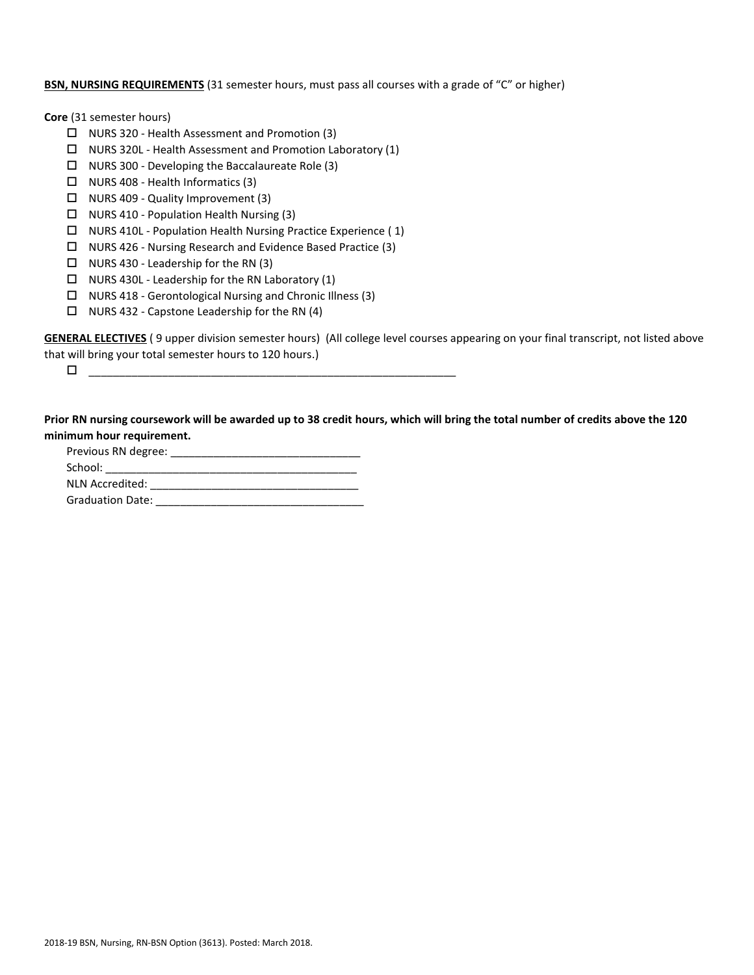# **BSN, NURSING REQUIREMENTS** (31 semester hours, must pass all courses with a grade of "C" or higher)

**Core** (31 semester hours)

- NURS 320 Health Assessment and Promotion (3)
- $\Box$  NURS 320L Health Assessment and Promotion Laboratory (1)
- $\Box$  NURS 300 Developing the Baccalaureate Role (3)
- $\Box$  NURS 408 Health Informatics (3)
- $\Box$  NURS 409 Quality Improvement (3)
- $\Box$  NURS 410 Population Health Nursing (3)
- $\Box$  NURS 410L Population Health Nursing Practice Experience (1)
- $\Box$  NURS 426 Nursing Research and Evidence Based Practice (3)
- $\Box$  NURS 430 Leadership for the RN (3)
- $\Box$  NURS 430L Leadership for the RN Laboratory (1)
- $\Box$  NURS 418 Gerontological Nursing and Chronic Illness (3)
- $\Box$  NURS 432 Capstone Leadership for the RN (4)

**GENERAL ELECTIVES** ( 9 upper division semester hours) (All college level courses appearing on your final transcript, not listed above that will bring your total semester hours to 120 hours.)

\_\_\_\_\_\_\_\_\_\_\_\_\_\_\_\_\_\_\_\_\_\_\_\_\_\_\_\_\_\_\_\_\_\_\_\_\_\_\_\_\_\_\_\_\_\_\_\_\_\_\_\_\_\_\_\_\_\_\_\_

**Prior RN nursing coursework will be awarded up to 38 credit hours, which will bring the total number of credits above the 120 minimum hour requirement.**

| Previous RN degree:     |  |
|-------------------------|--|
| School:                 |  |
| NLN Accredited:         |  |
| <b>Graduation Date:</b> |  |